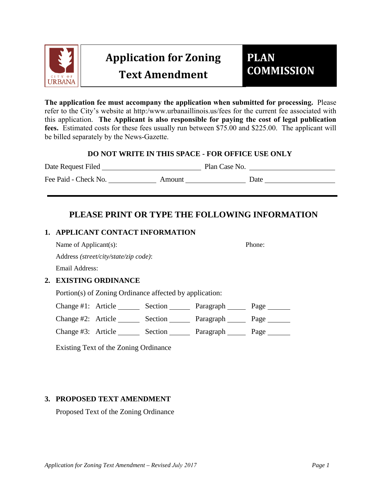

# **Application for Zoning Text Amendment**

# **PLAN COMMISSION**

**The application fee must accompany the application when submitted for processing.** Please refer to the City's website at http:/www.urbanaillinois.us/fees for the current fee associated with this application. **The Applicant is also responsible for paying the cost of legal publication fees.** Estimated costs for these fees usually run between \$75.00 and \$225.00. The applicant will be billed separately by the News-Gazette.

#### **DO NOT WRITE IN THIS SPACE - FOR OFFICE USE ONLY**

Date Request Filed Plan Case No. Fee Paid - Check No. Amount Date

# **PLEASE PRINT OR TYPE THE FOLLOWING INFORMATION**

## **1. APPLICANT CONTACT INFORMATION**

Name of Applicant(s): Phone:

Address *(street/city/state/zip code)*:

Email Address:

## **2. EXISTING ORDINANCE**

Portion(s) of Zoning Ordinance affected by application:

Change #1: Article \_\_\_\_\_\_\_ Section \_\_\_\_\_\_\_ Paragraph \_\_\_\_\_\_ Page \_\_\_\_\_\_\_

Change #2: Article \_\_\_\_\_\_\_ Section \_\_\_\_\_\_\_ Paragraph \_\_\_\_\_\_ Page \_\_\_\_\_\_\_

Change #3: Article \_\_\_\_\_\_\_ Section \_\_\_\_\_\_\_ Paragraph \_\_\_\_\_\_ Page \_\_\_\_\_\_\_

Existing Text of the Zoning Ordinance

## **3. PROPOSED TEXT AMENDMENT**

Proposed Text of the Zoning Ordinance